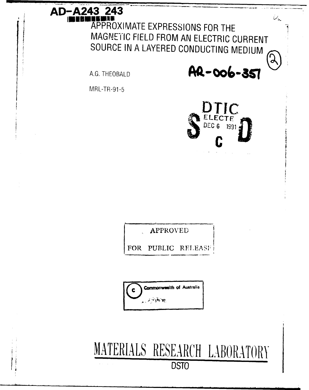# AD-A243 243 APPROXIMATE EXPRESSIONS FOR THE MAGNETIC FIELD FROM AN ELECTRIC CURRENT SOURCE IN A LAYERED CONDUCTING MEDIUM

A.G. THEOBALD

AR-006-357

مدر

 $\mathbf{r}$ 

MRL-TR-91-5



APPROVED

PUBLIC **FOR RELEASF** 

Commonweelth of Australia 医同种皮质

MATERIALS RESEARCH LABORATORY **DSTO**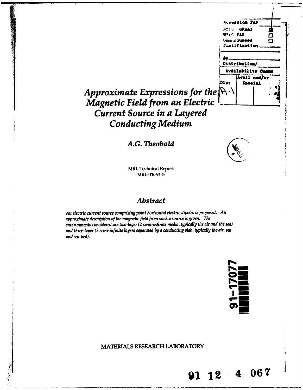

# Approximate Expressions for the  $\mathbb{R}$   $\cdot$ *Current Source in a Layered Conducting Medium*

**A.G.** *Theobald*



MRL Technical Report MRL-TR-91-5

#### *Abstract*

*An electric current source comprising point horizontal electric dipoles is proposed. An approximate description of the magnetic field from such a source is given. The environments considered are two-layer (2 semi-infinite media, typically the air and the sea) and three-layer (2 semi-infinite layers separated by a conducting slab, typically the air,* **sea** *and sea-bed).*

**P% I** I-Second Contract Contract Contract Contract Contract Contract Contract Contract Contract Contract Contract Contract Contract Contract Contract Contract Contract Contract Contract Contract Contract Contract Contract Co

**1112 4 067**

**MATERIALS** RESEARCH LABORATORY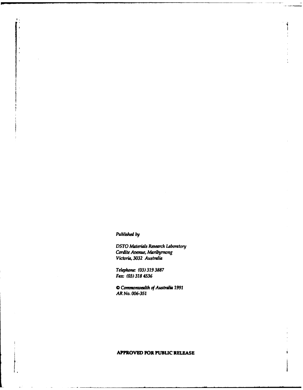Published **by**

*DSTO Materials Research Laboratory* Cordite *Avenue, Maribymong Victoria, 3032 Australia*

*Telephone: (03) 319 3887 Fax: (03) 318 4536*

*0 Cmmomwalth of Australia 1991 AR No. 006-351*

#### **APPROVED FOR PUBLIC RELEASE**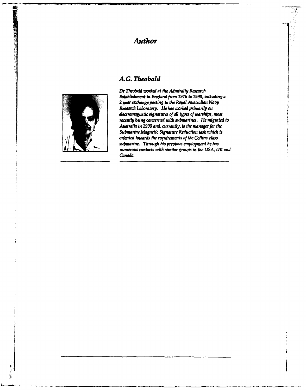## *Author*

### *A.G. Theobald*



l.

藝

*Dr Theolbrd worked at the* **Admiralty** *Research Establishment in England from 1976 to 1990, including a* 2 **year** *exchange posting to the Royal Australian Navy Resarch Laboratory. He* **has** *worked primarily on electromagnetic signatures of all types of warships, most recently being concerned with submarines. He migrated to Australia in 1990 and, currently, is the manager for the Submarine Magnetic Signature Reduction task which is oriented towards the requirements of the Collins-class* submarine. Through his previous employment he has *numerous contacts with similar groups in the USA, UK and Canada.*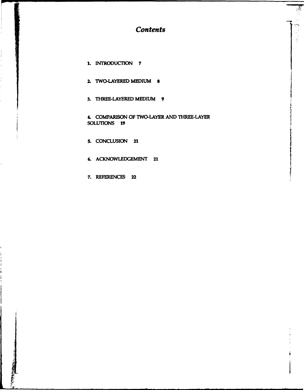*Contents*

- **1. INTRODUCTION 7**
- 2. TWO-LAYERED **MEDIUM 8**
- **3.** THREE-LAYERED **MEDIUM 9**

4COMPARISON OF TWO-LAYER **AND** THREE-LAYER **SOLUTIONS 19**

- **S. CONCLUSION** 21)
- **6. ACKNOWLEDGEMENT 21**
- **7. REFERENCES** 22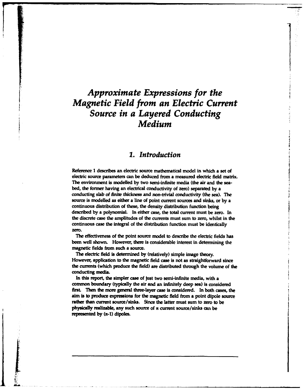## *Approximate Expressions for the Magnetic Field from an Electric Current Source in a Layered Conducting Medium*

#### *1. Introduction*

Reference **1** describes an electric source mathematical model in which a set of electric source parameters can be deduced from a measured electric field matrix. The environment is modelled **by** two semi-infinite media (the air and **the** seabed, the former having an electrical conductivity of zero) separated **by** a conducting *slab of* finite thickness and non-trivia] conductivity (the sea). The source is modelled as either a line of point current sources and sinks, or **by** a continuous distribution of **these,** the density distribution function being described **by** a polynomial. In either case, the total **current** must be zero. In the discrete case the amplitudes of the currents must sum to zero, whilst in the continuous case the integral of the distribution function must be identically zero.

**The** effectiveness of the point source model to describe the electric fields has been well shown. However, there is considerable interest in determining the magnetic fields from such a source.

The electric field is determined **by** (relatively) simple image theory. However, application to the magnetic field case is not as straightforward since the currents (which produce the field) are distributed through the volume of the conducting media.

In this report, the simpler case of just two semi-infinite media, with a common boundary (typically the air **and** an infinitely deep sea) is considered first. Then the more general three-layer case is considered. In both cases, the aim is to produce expressions for the magnetic field **from** a point dipole source rather than current source/sinks. Since the latter must sum to zero to be physically realizable, any such source of **n** current source/sinks can be represented **by** (n-1) dipoles.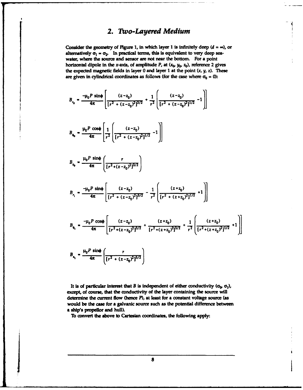#### *2. To-Layered Medium*

Consider the geometry of Figure 1, in which layer 1 is infinitely deep  $(d = \infty)$ , or alternatively  $\sigma_1 = \sigma_2$ . In practical terms, this is equivalent to very deep seawater, where the **source** and sensor are not near the bottom. For a point horizontal dipole in the x-axis, of amplitude  $P$ , at  $(x_0, y_0, z_0)$ , reference 2 gives the expected magnetic fields in layer **0** and layer **I** at the point (x, **y,** *z). These* are given in cylindrical coordinates as follows (for the case where  $\sigma_0 = 0$ ):

$$
B_{r_0} = \frac{-\mu_0 P \sin\phi}{4\pi} \left[ \frac{(z-z_0)}{[r^2 + (z-z_0)^2]^{3/2}} + \frac{1}{r^2} \left[ \frac{(z-z_0)}{[r^2 + (z-z_0)^2]^{1/2}} - 1 \right] \right]
$$

$$
B_{\phi_0} = \frac{\mu_0 P \cos \phi}{4\pi} \left[ \frac{1}{r^2} \left( \frac{(z - z_0)}{[r^2 + (z - z_0)^2]^{1/2}} - 1 \right) \right]
$$

$$
B_{z_0} = \frac{\mu_0 P \sin\phi}{4\pi} \left( \frac{r}{[r^2 + (z - z_0)^2]^{3/2}} \right)
$$

$$
B_{r_1} = \frac{-\mu_0 P \sin\phi}{4\pi} \left[ \frac{(z-z_0)}{[r^2 + (z-z_0)^2]^{3/2}} - \frac{1}{r^2} \left[ \frac{(z+z_0)}{[r^2 + (z+z_0)^2]^{1/2}} + 1 \right] \right]
$$

$$
B_{\phi_1} = \frac{-\mu_0 P \cos \phi}{4\pi} \left[ \frac{(z-z_0)}{[r^2 + (z-z_0)^2]^{3/2}} + \frac{(z+z_0)}{[r^2 + (z+z_0)^2]^{3/2}} + \frac{1}{r^2} \left[ \frac{(z+z_0)}{[r^2 + (z+z_0)^2]^{1/2}} + 1 \right] \right]
$$

$$
B_{z_1} = \frac{\mu_0 P \sin\phi}{4\pi} \left( \frac{r}{\left[r^2 + (z - z_0)^2\right]^{3/2}} \right)
$$

<u>I to a the contract of the contract of the contract of the contract of the contract of the contract of the contract of the contract of the contract of the contract of the contract of the contract of the contract of the co</u>

It is of particular interest that *B* is independent of either conductivity ( $\sigma_0$ ,  $\sigma_1$ ), **except, of course, that the conductivity of the layer containing the source will determine the current flow (hence** *F),* **at least for a constant voltage source (as** would be the case for a galvanic source such as the potential difference between **to ship's propellor and hull).**<br>To convert the above to Cartesian coordinates, the following apply:

8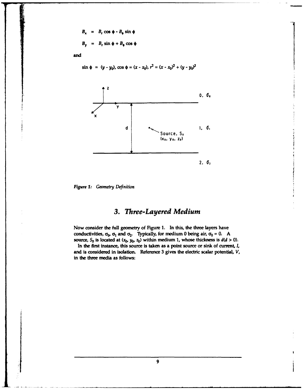$$
B_x = B_r \cos \phi - B_\phi \sin \phi
$$
  

$$
B_y = B_r \sin \phi + B_\phi \cos \phi
$$

and

$$
\sin \phi = (y - y_0), \cos \phi = (x - x_0), r^2 = (x - x_0)^2 + (y - y_0)^2
$$



*Figure 1: Geometry Definition*

### *3. Three-Layered Medium*

Now consider the full geometry of Figure **1.** In this, the three layers have conductivities,  $\sigma_0$ ,  $\sigma_1$  and  $\sigma_2$ . Typically, for medium 0 being air,  $\sigma_0 = 0$ . A source,  $S_0$  is located at  $(x_0, y_0, z_0)$  within medium 1, whose thickness is  $d(d > 0)$ .

In the first instance, this source is taken as a point source or sink of current, *I,* and is considered in isolation. Reference **3** gives the electric scalar potential, *V,* in the three media as follows: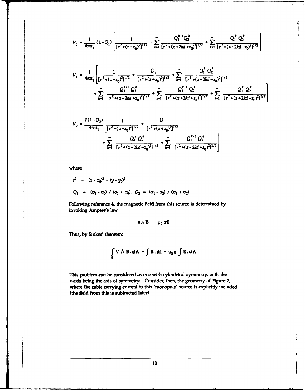$$
V_0 = \frac{I}{4\pi\sigma_1} (1+Q_1) \left[ \frac{1}{[r^2 + (z-z_0)^2]^{1/2}} + \sum_{k=1}^{\infty} \frac{Q_1^{k-1} Q_2^k}{[r^2 + (z+2kd+z_0)^2]^{1/2}} + \sum_{k=1}^{\infty} \frac{Q_1^k Q_2^k}{[r^2 + (z+2kd-z_0)^2]^{1/2}} \right]
$$

$$
V_{1} = \frac{1}{4\pi\sigma_{1}} \left[ \frac{1}{[r^{2} + (z - z_{0})^{2}]^{1/2}} + \frac{Q_{1}}{[r^{2} + (z + z_{0})^{2}]^{1/2}} + \sum_{k=1}^{\infty} \frac{Q_{1}^{k} Q_{2}^{k}}{[r^{2} + (z - 2kd - z_{0})^{2}]^{1/2}} + \sum_{k=1}^{\infty} \frac{Q_{1}^{k+1} Q_{2}^{k}}{[r^{2} + (z - 2kd + z_{0})^{2}]^{1/2}} + \sum_{k=1}^{\infty} \frac{Q_{1}^{k-1} Q_{2}^{k}}{[r^{2} + (z + 2kd + z_{0})^{2}]^{1/2}} + \sum_{k=1}^{\infty} \frac{Q_{1}^{k} Q_{2}^{k}}{[r^{2} + (z + 2kd - z_{0})^{2}]^{1/2}} \right]
$$

$$
V_2 = \frac{I(1+Q_2)}{4\pi\sigma_1} \left[ \frac{1}{[r^2 + (z - z_0)^2]^{1/2}} + \frac{Q_1}{[r^2 + (z + z_0)^2]^{1/2}} + \sum_{k=1}^{\infty} \frac{Q_1^k Q_2^k}{[r^2 + (z - 2kd - z_0)^2]^{1/2}} + \sum_{k=1}^{\infty} \frac{Q_1^{k+1} Q_2^k}{[r^2 + (z - 2kd - z_0)^2]^{1/2}} \right]
$$

**where**

$$
r^{2} = (x - x_{0})^{2} + (y - y_{0})^{2}
$$
  
\n
$$
Q_{1} = (\sigma_{1} - \sigma_{0}) / (\sigma_{1} + \sigma_{0}), Q_{2} = (\sigma_{1} - \sigma_{2}) / (\sigma_{1} + \sigma_{2})
$$

**Following reference** *4,* **the magnetic field from this source is determined by invoking Ampere's law**

$$
\mathbf{v} \wedge \mathbf{B} = \mu_0 \sigma \mathbf{E}
$$

Thus, **by** Stokes' theorem

$$
\int_{S} \nabla \wedge \mathbf{B} \cdot d\mathbf{A} = \int \mathbf{B} \cdot d\mathbf{l} = \mu_0 \sigma \int E \cdot d\mathbf{A}
$$

This problem can be considered as one with cylindrical symmetry, with the z-axls being **the** axis of symmetry. Consider, then, the geometry of Figure 2, where the cable carrying current **to** this "monopole" source is explicitly included **(the** field from this is subtracted later).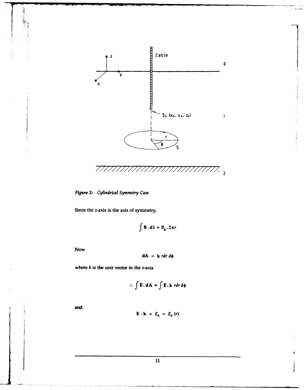

t.

Figure 2: Cylindrical Symmetry Case

Since the z-axis is the axis of symmetry,

$$
\int \mathbf{B} \cdot \mathbf{dl} = B_{\phi} \cdot 2\pi r
$$

Now

第三篇:

$$
dA = k \, r dr \, d\phi
$$

where  $k$  is the unit vector in the  $z$ -axis

$$
\therefore \int \mathbf{E} \cdot \mathbf{dA} = \int \mathbf{E} \cdot \mathbf{k} \, r dr d\phi
$$

and

$$
\mathbf{E} \cdot \mathbf{k} = E_z = E_z(r)
$$

 $\overline{11}$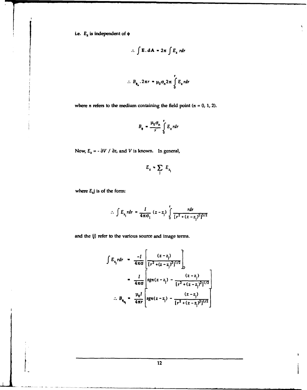i.e.  $E_z$  is independent of  $\phi$ 

$$
\therefore \int E \cdot dA = 2\pi \int E_z \, r dr
$$

۲

$$
B_{\phi_n} \cdot 2\pi r = \mu_0 \sigma_n 2\pi \int_0^r E_z \, r dr
$$

where *n* refers to the medium containing the field point  $(n = 0, 1, 2)$ .

$$
B_{\phi} = \frac{\mu_0 \sigma_n}{r} \int\limits_0^r E_z \, r dr
$$

Now,  $E_z = -\frac{\partial V}{\partial z}$ , and *V* is known. In general,

$$
E_z = \sum_{j} E_{z_j}
$$

where  $E_z$ *j* is of the form:

$$
\therefore \int E_{z_j} r dr = \frac{I}{4\pi\sigma_1} (z - z_j) \int_0^r \frac{r dr}{[r^2 + (z - z_j)^2]^{3/2}}
$$

and the  ${j}$  refer to the various source and image terms.

$$
\int E_{z_i} r dr = \frac{-I}{4\pi\sigma} \left[ \frac{(z-z_j)}{[r^2 + (z-z_j)^2]^{1/2}} \right]_0^{\sqrt{2} + (z-z_j)^2} = \frac{I}{4\pi\sigma} \left[ sgn(z-z_j) - \frac{(z-z_j)}{[r^2 + (z-z_j)^2]^{1/2}} \right]
$$
  
 
$$
\therefore B_{\phi_{u_i}} = \frac{\mu_0 I}{4\pi r} \left[ sgn(z-z_j) - \frac{(z-z_j)}{[r^2 + (z-z_j)^2]^{1/2}} \right]
$$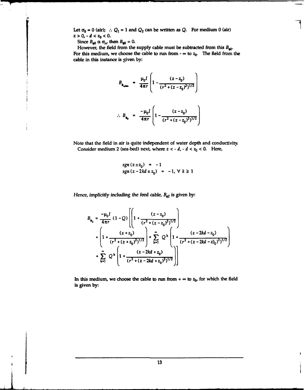Let  $\sigma_0 = 0$  (air);  $\therefore Q_1 = 1$  and  $Q_2$  can be written as Q. For medium 0 (air)  $z > 0$ ,  $-d < z_0 < 0$ .

Since  $B_{\phi 0} \propto \sigma_{\text{n}}$ , then  $B_{\phi 0} = 0$ .

However, the field **from** the supply cable must be subtracted **from** this *B4o.* For this medium, we choose the cable to run from  $-\infty$  to  $z_0$ . The field from the cable **in** this instance is given **by:**

$$
B_{\phi_{\text{min}}} = \frac{\mu_0 I}{4\pi r} \left( 1 - \frac{(z - z_0)}{(r^2 + (z - z_0)^2)^{1/2}} \right)
$$
  
 
$$
\therefore B_{\phi_0} = \frac{-\mu_0 I}{4\pi r} \left( 1 - \frac{(z - z_0)}{(r^2 + (z - z_0)^2)^{1/2}} \right)
$$

Note that the field in air is quite independent of water depth and conductivity. Consider medium 2 (sea-bed) next, where  $z < -d$ ,  $-d < z_0 < 0$ . Here,

$$
sgn(z \pm z_0) = -1
$$
  
\n
$$
sgn(z - 2kd \pm z_0) = -1, \forall k \ge 1
$$

Hence, implicitly including the feed cable,  $B_{62}$  is given by:

$$
B_{\phi_2} = \frac{-\mu_0 I}{4\pi r} (1 - Q) \left[ \left( 1 + \frac{(z - z_0)}{(r^2 + (z - z_0)^2)^{1/2}} \right) + \left( 1 + \frac{(z + z_0)}{(r^2 + (z + z_0)^2)^{1/2}} \right) + \sum_{k=1}^{\infty} Q^k \left( 1 + \frac{(z - 2kd - z_0)}{(r^2 + (z - 2kd - z)_0)^2)^{1/2}} \right) + \sum_{k=1}^{\infty} Q^k \left( 1 + \frac{(z - 2kd + z_0)}{(r^2 + (z - 2kd + z_0)^2)^{1/2}} \right) \right]
$$

In this medium, we choose the cable to run from  $+ \infty$  to  $z_0$ , for which the field is given **by:**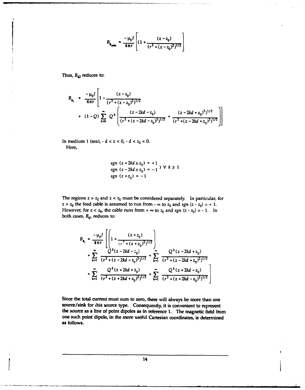$$
B_{\phi_{\text{cubic}}} = \frac{-\mu_0 I}{4\pi r} \left[ (1 + \frac{(z - z_0)}{(r^2 + (z - z_0)^2)^{1/2}} \right]
$$

Thus,  $B_{\alpha 2}$  reduces to:

 $\frac{1}{2}$ 

$$
B_{\phi_2} = \frac{-\mu_0 I}{4\pi r} \left[ 1 - \frac{(z - z_0)}{(r^2 + (z - z_0)^2)^{1/2}} + (1 - Q) \sum_{k=0}^{\infty} Q^k \left( \frac{(z - 2kd - z_0)}{(r^2 + (z - 2kd - z_0)^2)^{1/2}} + \frac{(z - 2kd + z_0)^2)^{1/2}}{(r^2 + (z - 2kd - z_0)^2)^{1/2}} \right) \right]
$$

In medium 1 (sea),  $-d < z < 0$ ,  $-d < z<sub>0</sub> < 0$ . Here,

$$
sgn (z + 2kd \pm z_0) = +1
$$
  
\n
$$
sgn (z - 2kd \pm z_0) = -1
$$
)  $\forall k \ge 1$   
\n
$$
sgn (z + z_0) = -1
$$

The regions  $z > z_0$  and  $z < z_0$  must be considered separately. In particular, for  $z > z_0$  the feed cable is assumed to run from  $-\infty$  to  $z_0$  and  $sgn (z - z_0) = +1$ . However, for  $z < z_0$ , the cable runs from  $+ \infty$  to  $z_0$  and  $sgn (z - z_0) = -1$ . In both cases,  $B_{\phi 1}$  reduces to:

$$
B_{\phi_1} = \frac{-\mu_0 I}{4\pi r} \left[ \left( 1 + \frac{(z + z_0)}{(r^2 + (z + z_0)^2)^{1/2}} \right) + \sum_{k=1}^{\infty} \frac{Q^k (z - 2kd - z_0)}{(r^2 + (z - 2kd - z_0)^2)^{1/2}} + \sum_{k=1}^{\infty} \frac{Q^k (z - 2kd + z_0)}{(r^2 + (z - 2kd + z_0)^2)^{1/2}} + \sum_{k=1}^{\infty} \frac{Q^k (z + 2kd + z_0)}{(r^2 + (z + 2kd + z_0)^2)^{1/2}} + \sum_{k=1}^{\infty} \frac{Q^k (z + 2kd - z_0)}{(r^2 + (z + 2kd - z_0)^2)^{1/2}} \right]
$$

Since the total current must sum to zero, there will always be more than one source/sink for chis source type. Consequently, it is convenient to represent the source as a line of point dipoles as in reference **1.** The magnetic field from one such point dipole, in the more useful Cartesian coordinates, is determined as follows.

 $14$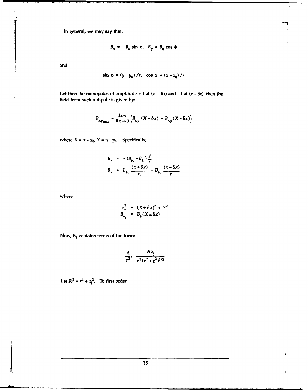In general, we may say that:

$$
B_x = -B_x \sin \phi
$$
,  $B_y = B_x \cos \phi$ 

. . . .

٠

and

$$
\sin \phi = (y - y_0) / r
$$
,  $\cos \phi = (x - x_0) / r$ 

Let there be monopoles of amplitude  $+ I$  at  $(x + \delta x)$  and  $- I$  at  $(x - \delta x)$ , then the field from such a dipole is given **by:**

$$
B_{x,y_{\text{dipole}}} = \frac{Lim}{\delta x \to 0} \left( B_{x,y} \left( X + \delta x \right) - B_{x,y} \left( X - \delta x \right) \right)
$$

where  $X = x - x_0$ ,  $Y = y - y_0$ . Specifically,

$$
B_x = -(B_{\phi_x} - B_{\phi_x}) \frac{y}{r}
$$
  
\n
$$
B_y = B_{\phi_x} \frac{(x + \delta x)}{r_x} - B_{\phi_x} \frac{(x - \delta x)}{r_x}
$$

where

$$
r_{\pm}^{2} = (X \pm \delta x)^{2} + Y^{2}
$$
  

$$
B_{\bullet} = B_{\bullet} (X \pm \delta x)
$$

Now, **B,** contains terms of the form:

$$
\frac{A}{r^2}, \frac{Az_j}{r^2(r^2+z_i^2)^{1/2}}
$$

Let  $R^2 = r^2 + z^2$ . To first order,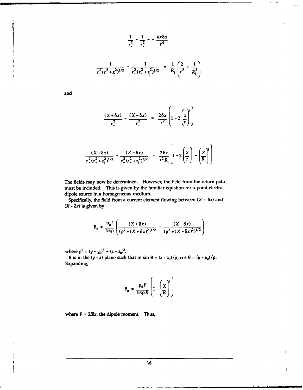$$
\frac{1}{r_{+}^{2}} - \frac{1}{r_{-}^{2}} = -\frac{4x\delta x}{r^{4}}
$$
\n
$$
\frac{1}{r_{+}^{2}(r_{+}^{2} + z_{j}^{2})^{1/2}} - \frac{1}{r_{-}^{2}(r_{-}^{2} + z_{j}^{2})^{1/2}} = \frac{1}{R_{j}} \left(\frac{2}{r^{2}} + \frac{1}{R_{j}^{2}}\right)
$$

and

$$
\frac{(X+\delta x)}{r_+^2} - \frac{(X-\delta x)}{r_-^2} = \frac{2\delta x}{r^2} \left(1-2\left(\frac{x}{r}\right)^2\right)
$$

$$
\frac{(X+\delta x)}{r_{+}^{2}(r_{+}^{2}+z_{j}^{2})^{1/2}}-\frac{(X-\delta x)}{r_{-}^{2}(r_{-}^{2}+z_{j}^{2})^{1/2}}=\frac{2\delta x}{r^{2}R_{j}}\left[1-2\left(\frac{X}{r}\right)^{2}-\left(\frac{X}{R_{j}}\right)^{2}\right]
$$

The fields may now be determined. However, the field from the return path must be included. This is given **by** the familiar equation for a point electric dipole source in a homogeneous medium.

Specifically, the field from a current element flowing between  $(X + \delta x)$  and  $(X - \delta x)$  is given by

$$
B_0 = \frac{\mu_0 I}{4\pi\rho} \left( \frac{(X + \delta x)}{(\rho^2 + (X + \delta x)^2)^{1/2}} - \frac{(X - \delta x)}{(\rho^2 + (X - \delta x)^2)^{1/2}} \right)
$$

where  $\rho^2 = (y - y_0)^2 + (z - z_0)^2$ .

**0** is in the  $(y - z)$  plane such that in sin  $\theta = (z - z_0)/\rho$ , cos  $\theta = (y - y_0)/\rho$ . Expanding,

$$
B_{\mathbf{e}} = \frac{\mu_0 P}{4\pi \rho R} \left( 1 - \left( \frac{X}{R} \right)^2 \right)
$$

where  $P = 2I\delta x$ , the dipole moment. Thus,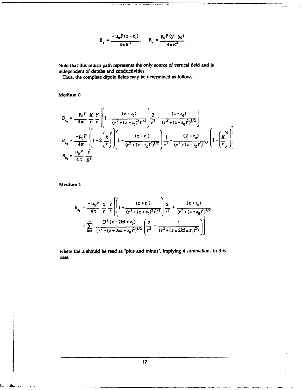$$
B_y = \frac{-\mu_0 P(z - z_0)}{4\pi R^3}, \qquad B_x = \frac{\mu_0 P(y - y_0)}{4\pi R^3}
$$

Note that this return path represents the only source of vertical field and is independent of depths and conductivities.

Thus, the complete dipole fields may be determined as follows:

Medium **0**

$$
B_{x_0} = \frac{-\mu_0 P}{4\pi} \frac{X}{r} \frac{Y}{r} \left[ \left( 1 - \frac{(z - z_0)}{(r^2 + (z - z_0)^2)^{1/2}} \right) \frac{2}{r^2} - \frac{(z - z_0)}{(r^2 + (z - z_0)^2)^{3/2}} \right]
$$
  
\n
$$
B_{y_0} = \frac{-\mu_0 P}{4\pi} \left[ \left( 1 - 2 \left( \frac{X}{r} \right)^2 \right) \left[ 1 - \frac{(z - z_0)}{(r^2 + (z - z_0)^2)^{1/2}} \right] \frac{1}{r^2} - \frac{(Z - z_0)}{(r^2 + (z - z_0)^2)^{3/2}} \left( 1 - \left( \frac{X}{r} \right)^2 \right) \right]
$$
  
\n
$$
B_{z_0} = \frac{\mu_0 P}{4\pi} \frac{Y}{R^3}
$$

Medium **I**

$$
B_{x_1} = \frac{-\mu_0 P}{4\pi} \frac{X}{r} \frac{Y}{r} \left[ \left( 1 + \frac{(z+z_0)}{(r^2 + (z+z_0)^2)^{1/2}} \right) \frac{2}{r^2} + \frac{(z+z_0)}{(r^2 + (z+z_0)^2)^{3/2}} + \sum_{k=1}^{\infty} \frac{Q^k (z \pm 2kd \pm z_0)}{(r^2 + (z \pm 2kd \pm z_0)^2)^{1/2}} \left( \frac{2}{r^2} + \frac{1}{(r^2 + (z \pm 2kd \pm z_0)^2)} \right) \right]
$$

where the **±** should be read as "plus and minus", implying 4 summations in this case.

 $\mathbf{I}$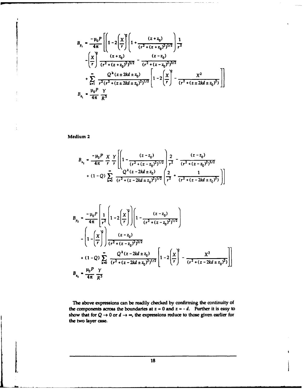$$
B_{y_1} = \frac{-\mu_0 P}{4\pi} \left[ \left( 1 - 2\left( \frac{x}{r} \right)^2 \left( 1 + \frac{(z+z_0)}{(r^2 + (z+z_0)^2)^{1/2}} \right) \frac{1}{r^2} - \left( \frac{x}{r} \right)^2 \frac{(z+z_0)}{(r^2 + (z+z_0)^2)^{3/2}} - \frac{(z-z_0)}{(r^2 + (z-z_0)^2)^{3/2}} \right) \right]
$$
  
+ 
$$
\sum_{k=1}^{\infty} \frac{Q^k (z \pm 2kd \pm z_0)}{r^2 (r^2 + (z \pm 2kd \pm z_0)^2)^{1/2}} \left[ 1 - 2\left( \frac{x}{r} \right)^2 - \frac{x^2}{(r^2 + (z \pm 2kd \pm z_0)^2)} \right] \right]
$$
  

$$
B_{z_1} = \frac{\mu_0 P}{4\pi} \frac{Y}{R^3}
$$

Medium 2

$$
B_{x_2} = \frac{-\mu_0 P}{4\pi} \frac{X}{r} \frac{Y}{r} \left[ \left( 1 - \frac{(z - z_0)}{(r^2 + (z - z_0)^2)^{1/2}} \right) \frac{2}{r^2} - \frac{(z - z_0)}{(r^2 + (z - z_0)^2)^{3/2}} + (1 - Q) \sum_{k=0}^{\infty} \frac{Q^k (z - 2kd \pm z_0)}{(r^2 + (z - 2kd \pm z_0)^2)^{1/2}} \left( \frac{2}{r^2} + \frac{1}{(r^2 + (z - 2kd \pm z_0)^2)} \right) \right]
$$

$$
B_{y_2} = \frac{-\mu_0 P}{4\pi} \left[ \frac{1}{r^2} \left( 1 - 2 \left( \frac{x}{r} \right)^2 \right) \left( 1 - \frac{(z - z_0)}{(r^2 + (z - z_0)^2)^{1/2}} \right) \right]
$$
  

$$
- \left( 1 - \left( \frac{x}{r} \right)^2 \right) \frac{(z - z_0)}{(r^2 + (z - z_0)^2)^{3/2}} + (1 - Q) \sum_{k=0}^{\infty} \frac{Q^k (z - 2kd \pm z_0)}{(r^2 + (z - 2kd \pm z_0)^2)^{1/2}} \left[ 1 - 2 \left( \frac{x}{r} \right)^2 - \frac{x^2}{(r^2 + (z - 2kd \pm z_0)^2)} \right] \right]
$$
  

$$
B_{z_2} = \frac{\mu_0 P}{4\pi} \frac{Y}{R^3}
$$

The above expressions can be readily checked by confirming the continuity of the components across the boundaries at  $z = 0$  and  $z = -d$ . Further it is easy to show that for  $Q \rightarrow 0$  or  $d \rightarrow \infty$ , the expressions reduce to those given earlier for the two layer case.

**18**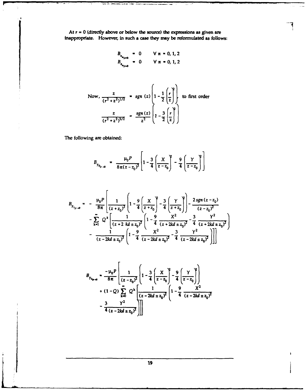At  $r = 0$  (directly above or below the source) the expressions as given are inappropriate. However, in such a case they may be reformulated as follows: . ..

$$
B_{x_{n_1+0}} = 0 \t\forall n = 0, 1, 2
$$
  

$$
B_{x_{n_1+0}} = 0 \t\forall n = 0, 1, 2
$$

Now, 
$$
\frac{z}{(r^2 + z^2)^{1/2}}
$$
 = sgn (z)  $\left(1 - \frac{1}{2} \left(\frac{r}{z}\right)\right)$  to first order  
 $\frac{z}{(r^2 + z^2)^{3/2}}$  =  $\frac{sgn(z)}{z^2} \left(1 - \frac{3}{2} \left(\frac{r}{z}\right)\right)$ 

The following are obtained:

$$
B_{y_{0_{\nu-\omega}}} = \frac{\mu_0 P}{8\pi (z-z_0)^2} \left[ 1 - \frac{3}{4} \left( \frac{X}{z-z_0} \right)^2 - \frac{9}{4} \left( \frac{Y}{z-z_0} \right)^2 \right]
$$

$$
B_{y_{1_{|r\rightarrow 0}}} = -\frac{\mu_0 P}{8\pi} \left[ \frac{1}{(z+z_0)^2} \left( 1 - \frac{9}{4} \left( \frac{X}{z+z_0} \right)^2 - \frac{3}{4} \left( \frac{Y}{z+z_0} \right)^2 \right) - \frac{2sgn(z-z_0)}{(z-z_0)^2} - \sum_{k=1}^{\infty} Q^k \left[ \frac{1}{(z+2kd+z_0)^2} \left( 1 - \frac{9}{4} \frac{X^2}{(z+2kd+z_0)^2} - \frac{3}{4} \frac{Y^2}{(z+2kd+z_0)^2} \right) - \frac{1}{(z-2kd+z_0)^2} \left[ 1 - \frac{9}{4} \frac{X^2}{(z-2kd+z_0)^2} - \frac{3}{4} \frac{Y^2}{(z-2kd+z_0)^2} \right] \right]
$$

$$
B_{y_{2_{k+0}}} = \frac{-\mu_0 P}{8\pi} \left[ \frac{1}{(z - z_0)^2} \left( 1 - \frac{3}{4} \left( \frac{X}{z - z_0} \right)^2 - \frac{9}{4} \left( \frac{Y}{z - z_0} \right) \right) + (1 - Q) \sum_{k=0}^{\infty} Q^k \left[ \frac{1}{(z - 2kd + z_0)^2} \left( 1 - \frac{9}{4} \frac{X^2}{(z - 2kd + z_0)^2} \right) - \frac{3}{4} \frac{Y^2}{(z - 2kd + z_0)^2} \right] \right]
$$

 $19$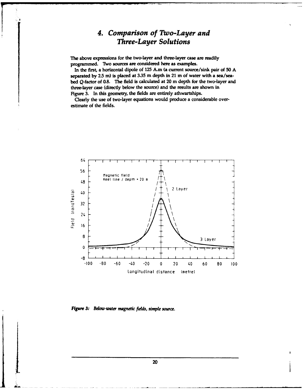### *4. Comparison of Two-Layer and Three-Layer Solutions*

The above expressions for the two-layer and three-layer case are readily programmed. Two sources are considered here as examples.

In the first, a horizontal dipole of **125** A.m (a current source/sink pair of **50 A** separated **by 2.5** m) is placed at **3.35** m depth in 21 m of water with a sea/seabed Q-factor of **0.8.** The field is calculated at 20 m depth for the two-layer and three-layer case (directly below the source) and the results are shown in Figure **3.** In this geometry, the fields are entirely athwartships.

Clearly the use of two-layer equations would produce a considerable overestimate of the fields.



Figure **3:** Below-water magnetic **fids,** simple source.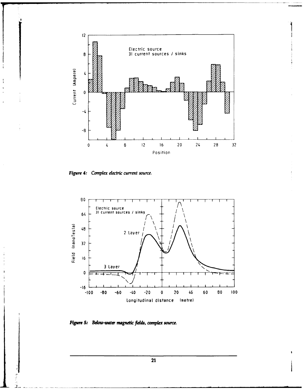

Figure 4: Complex electric current source.



Figure 5: Below-water magnetic fields, complex source.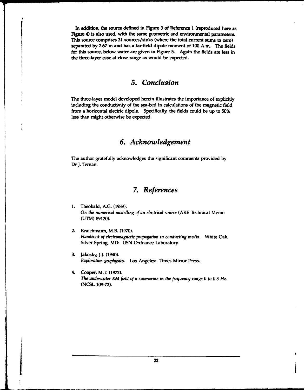In addition, the source defined in Figure 3 of Reference I (reproduced here as Figure 4) is also used, with the same geometric and environmental parameters. This source comprises **31** sources/sinks (where the total **current** sums to zero) separated **by 2.67** m and has a far-field dipole moment of **100** A.m. The fields for this source, below water are given in Figure **5.** Again the fields are less in the three-layer **case** at close range as would be expected.

#### *5. Conclusion*

The three-layer model developed herein illustrates the importance of explicitly including the conductivity of the sea-bed in calculations of the magnetic field from a horizontal electric dipole. Specifically, the fields could be up to **50%** less than **might** otherwise be expected.

### *6. Acknowledgement*

The author gratefully acknowledges the significant comments provided **by** Dr J. Ternan.

#### *7. References*

- **1.** Theobald, **A.G. (1989).** On the numerical modelling of an electrical source (ARE Technical Memo **(UTM) 89120).**
- 2. Kraichmann, M.B. **(1970).** Handbook of electromagnetic propagation in conducting media. White Oak, Silver Spring, MD: **USN** Ordnance Laboratory.
- **3.** Jakosky, **J.J.** (1940). Exploration geophysics. Los Angeles: Times-Mirror Press.
- 4. Cooper, M.T. **(1972).** The underwater EM field of a submarine in the frequency range **0** to **03** Hz. **(NCSL 109-72).**

**I22**